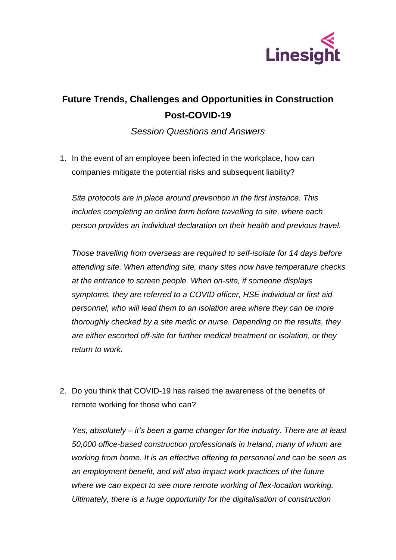

## **Future Trends, Challenges and Opportunities in Construction Post-COVID-19**

*Session Questions and Answers*

1. In the event of an employee been infected in the workplace, how can companies mitigate the potential risks and subsequent liability?

*Site protocols are in place around prevention in the first instance. This includes completing an online form before travelling to site, where each person provides an individual declaration on their health and previous travel.* 

*Those travelling from overseas are required to self-isolate for 14 days before attending site. When attending site, many sites now have temperature checks at the entrance to screen people. When on-site, if someone displays symptoms, they are referred to a COVID officer, HSE individual or first aid personnel, who will lead them to an isolation area where they can be more thoroughly checked by a site medic or nurse. Depending on the results, they are either escorted off-site for further medical treatment or isolation, or they return to work.* 

2. Do you think that COVID-19 has raised the awareness of the benefits of remote working for those who can?

*Yes, absolutely – it's been a game changer for the industry. There are at least 50,000 office-based construction professionals in Ireland, many of whom are working from home. It is an effective offering to personnel and can be seen as an employment benefit, and will also impact work practices of the future where we can expect to see more remote working of flex-location working. Ultimately, there is a huge opportunity for the digitalisation of construction*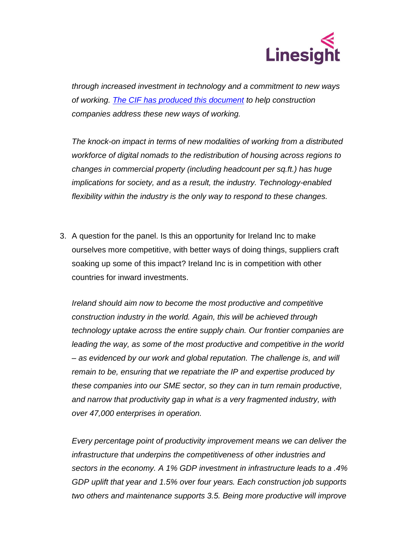

*through increased investment in technology and a commitment to new ways of working. [The CIF has produced this document](https://cif.ie/wp-content/uploads/2020/04/Guidance-on-Virtual-Construction-and-Design.pdf) to help construction companies address these new ways of working.*

*The knock-on impact in terms of new modalities of working from a distributed workforce of digital nomads to the redistribution of housing across regions to changes in commercial property (including headcount per sq.ft.) has huge implications for society, and as a result, the industry. Technology-enabled flexibility within the industry is the only way to respond to these changes.* 

3. A question for the panel. Is this an opportunity for Ireland Inc to make ourselves more competitive, with better ways of doing things, suppliers craft soaking up some of this impact? Ireland Inc is in competition with other countries for inward investments.

*Ireland should aim now to become the most productive and competitive construction industry in the world. Again, this will be achieved through technology uptake across the entire supply chain. Our frontier companies are leading the way, as some of the most productive and competitive in the world – as evidenced by our work and global reputation. The challenge is, and will remain to be, ensuring that we repatriate the IP and expertise produced by these companies into our SME sector, so they can in turn remain productive, and narrow that productivity gap in what is a very fragmented industry, with over 47,000 enterprises in operation.* 

*Every percentage point of productivity improvement means we can deliver the infrastructure that underpins the competitiveness of other industries and sectors in the economy. A 1% GDP investment in infrastructure leads to a .4% GDP uplift that year and 1.5% over four years. Each construction job supports two others and maintenance supports 3.5. Being more productive will improve*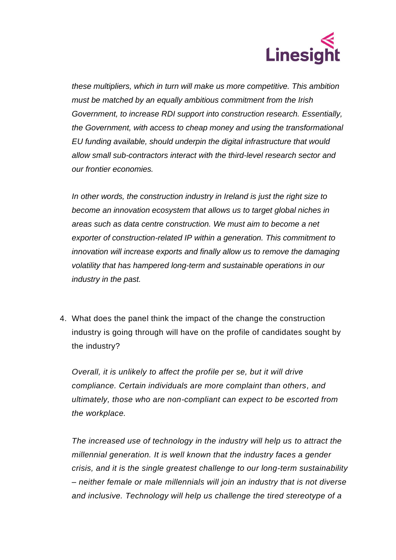

*these multipliers, which in turn will make us more competitive. This ambition must be matched by an equally ambitious commitment from the Irish Government, to increase RDI support into construction research. Essentially, the Government, with access to cheap money and using the transformational EU funding available, should underpin the digital infrastructure that would allow small sub-contractors interact with the third-level research sector and our frontier economies.* 

*In other words, the construction industry in Ireland is just the right size to become an innovation ecosystem that allows us to target global niches in areas such as data centre construction. We must aim to become a net exporter of construction-related IP within a generation. This commitment to innovation will increase exports and finally allow us to remove the damaging volatility that has hampered long-term and sustainable operations in our industry in the past.* 

4. What does the panel think the impact of the change the construction industry is going through will have on the profile of candidates sought by the industry?

*Overall, it is unlikely to affect the profile per se, but it will drive compliance. Certain individuals are more complaint than others, and ultimately, those who are non-compliant can expect to be escorted from the workplace.* 

*The increased use of technology in the industry will help us to attract the millennial generation. It is well known that the industry faces a gender crisis, and it is the single greatest challenge to our long-term sustainability – neither female or male millennials will join an industry that is not diverse and inclusive. Technology will help us challenge the tired stereotype of a*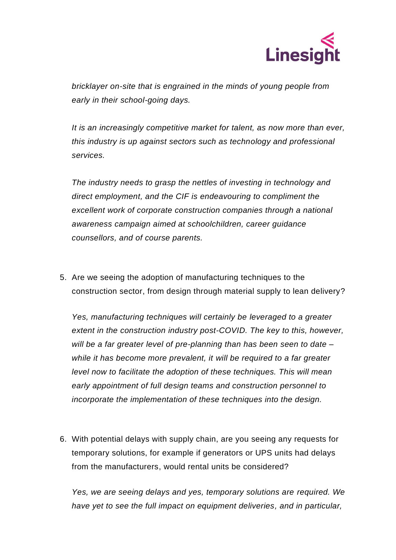

*bricklayer on-site that is engrained in the minds of young people from early in their school-going days.*

*It is an increasingly competitive market for talent, as now more than ever, this industry is up against sectors such as technology and professional services.* 

*The industry needs to grasp the nettles of investing in technology and direct employment, and the CIF is endeavouring to compliment the excellent work of corporate construction companies through a national awareness campaign aimed at schoolchildren, career guidance counsellors, and of course parents.* 

5. Are we seeing the adoption of manufacturing techniques to the construction sector, from design through material supply to lean delivery?

*Yes, manufacturing techniques will certainly be leveraged to a greater extent in the construction industry post-COVID. The key to this, however, will be a far greater level of pre-planning than has been seen to date – while it has become more prevalent, it will be required to a far greater level now to facilitate the adoption of these techniques. This will mean early appointment of full design teams and construction personnel to incorporate the implementation of these techniques into the design.* 

6. With potential delays with supply chain, are you seeing any requests for temporary solutions, for example if generators or UPS units had delays from the manufacturers, would rental units be considered?

*Yes, we are seeing delays and yes, temporary solutions are required. We have yet to see the full impact on equipment deliveries, and in particular,*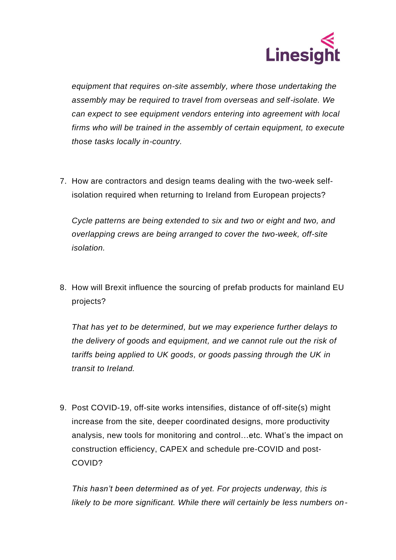

*equipment that requires on-site assembly, where those undertaking the assembly may be required to travel from overseas and self-isolate. We can expect to see equipment vendors entering into agreement with local firms who will be trained in the assembly of certain equipment, to execute those tasks locally in-country.* 

7. How are contractors and design teams dealing with the two-week selfisolation required when returning to Ireland from European projects?

*Cycle patterns are being extended to six and two or eight and two, and overlapping crews are being arranged to cover the two-week, off-site isolation.* 

8. How will Brexit influence the sourcing of prefab products for mainland EU projects?

*That has yet to be determined, but we may experience further delays to the delivery of goods and equipment, and we cannot rule out the risk of tariffs being applied to UK goods, or goods passing through the UK in transit to Ireland.* 

9. Post COVID-19, off-site works intensifies, distance of off-site(s) might increase from the site, deeper coordinated designs, more productivity analysis, new tools for monitoring and control…etc. What's the impact on construction efficiency, CAPEX and schedule pre-COVID and post-COVID?

*This hasn't been determined as of yet. For projects underway, this is likely to be more significant. While there will certainly be less numbers on-*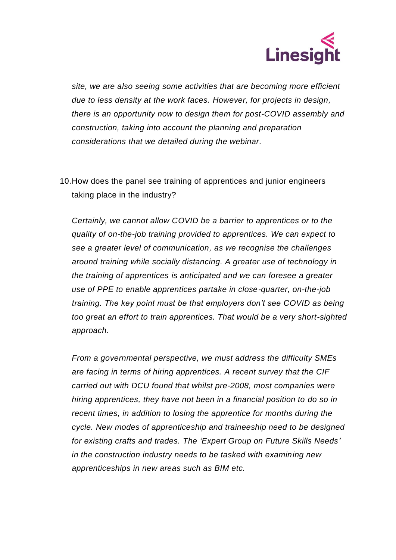

*site, we are also seeing some activities that are becoming more efficient due to less density at the work faces. However, for projects in design, there is an opportunity now to design them for post-COVID assembly and construction, taking into account the planning and preparation considerations that we detailed during the webinar.* 

10.How does the panel see training of apprentices and junior engineers taking place in the industry?

*Certainly, we cannot allow COVID be a barrier to apprentices or to the quality of on-the-job training provided to apprentices. We can expect to see a greater level of communication, as we recognise the challenges around training while socially distancing. A greater use of technology in the training of apprentices is anticipated and we can foresee a greater use of PPE to enable apprentices partake in close-quarter, on-the-job training. The key point must be that employers don't see COVID as being too great an effort to train apprentices. That would be a very short-sighted approach.* 

*From a governmental perspective, we must address the difficulty SMEs are facing in terms of hiring apprentices. A recent survey that the CIF carried out with DCU found that whilst pre-2008, most companies were hiring apprentices, they have not been in a financial position to do so in recent times, in addition to losing the apprentice for months during the cycle. New modes of apprenticeship and traineeship need to be designed for existing crafts and trades. The 'Expert Group on Future Skills Needs' in the construction industry needs to be tasked with examining new apprenticeships in new areas such as BIM etc.*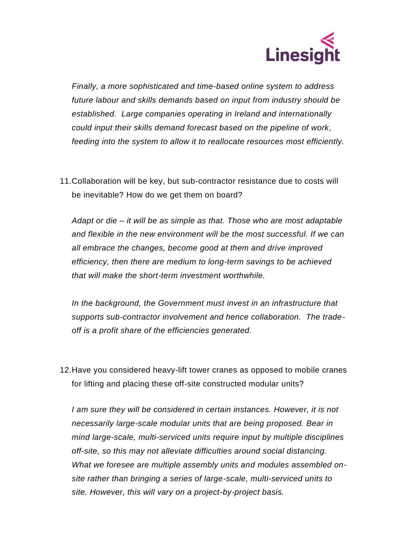

*Finally, a more sophisticated and time-based online system to address future labour and skills demands based on input from industry should be established. Large companies operating in Ireland and internationally could input their skills demand forecast based on the pipeline of work, feeding into the system to allow it to reallocate resources most efficiently.* 

11.Collaboration will be key, but sub-contractor resistance due to costs will be inevitable? How do we get them on board?

*Adapt or die – it will be as simple as that. Those who are most adaptable and flexible in the new environment will be the most successful. If we can all embrace the changes, become good at them and drive improved efficiency, then there are medium to long-term savings to be achieved that will make the short-term investment worthwhile.* 

*In the background, the Government must invest in an infrastructure that supports sub-contractor involvement and hence collaboration. The tradeoff is a profit share of the efficiencies generated.* 

12.Have you considered heavy-lift tower cranes as opposed to mobile cranes for lifting and placing these off-site constructed modular units?

*I am sure they will be considered in certain instances. However, it is not necessarily large-scale modular units that are being proposed. Bear in mind large-scale, multi-serviced units require input by multiple disciplines off-site, so this may not alleviate difficulties around social distancing. What we foresee are multiple assembly units and modules assembled onsite rather than bringing a series of large-scale, multi-serviced units to site. However, this will vary on a project-by-project basis.*